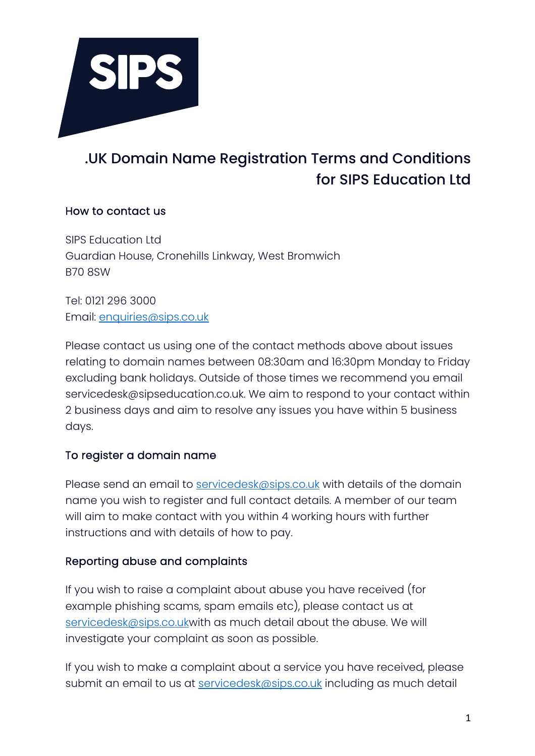

# .UK Domain Name Registration Terms and Conditions for SIPS Education Ltd

### How to contact us

SIPS Education Ltd Guardian House, Cronehills Linkway, West Bromwich B70 8SW

Tel: 0121 296 3000 Email: enquiries@sips.co.uk

Please contact us using one of the contact methods above about issues relating to domain names between 08:30am and 16:30pm Monday to Friday excluding bank holidays. Outside of those times we recommend you email servicedesk@sipseducation.co.uk. We aim to respond to your contact within 2 business days and aim to resolve any issues you have within 5 business days.

## To register a domain name

Please send an email to servicedesk@sips.co.uk with details of the domain name you wish to register and full contact details. A member of our team will aim to make contact with you within 4 working hours with further instructions and with details of how to pay.

#### Reporting abuse and complaints

If you wish to raise a complaint about abuse you have received (for example phishing scams, spam emails etc), please contact us at servicedesk@sips.co.ukwith as much detail about the abuse. We will investigate your complaint as soon as possible.

If you wish to make a complaint about a service you have received, please submit an email to us at servicedesk@sips.co.uk including as much detail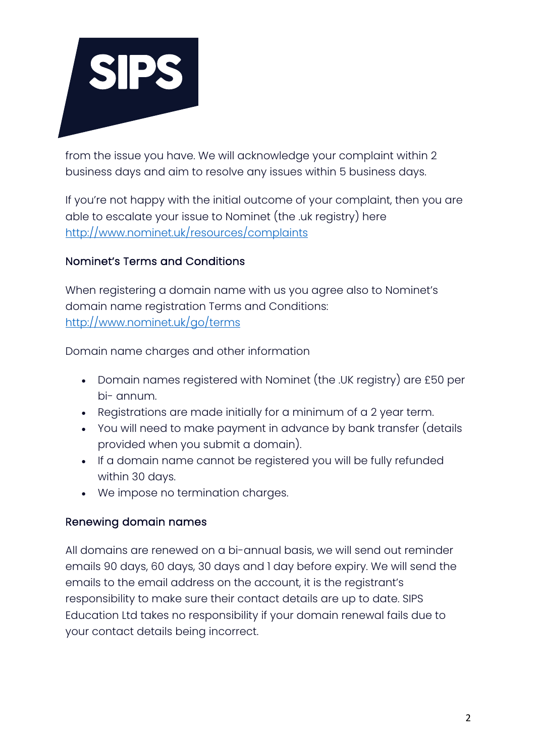

from the issue you have. We will acknowledge your complaint within 2 business days and aim to resolve any issues within 5 business days.

If you're not happy with the initial outcome of your complaint, then you are able to escalate your issue to Nominet (the .uk registry) here http://www.nominet.uk/resources/complaints

## Nominet's Terms and Conditions

When registering a domain name with us you agree also to Nominet's domain name registration Terms and Conditions: http://www.nominet.uk/go/terms

Domain name charges and other information

- Domain names registered with Nominet (the .UK registry) are £50 per bi- annum.
- Registrations are made initially for a minimum of a 2 year term.
- You will need to make payment in advance by bank transfer (details provided when you submit a domain).
- If a domain name cannot be registered you will be fully refunded within 30 days.
- We impose no termination charges.

#### Renewing domain names

All domains are renewed on a bi-annual basis, we will send out reminder emails 90 days, 60 days, 30 days and 1 day before expiry. We will send the emails to the email address on the account, it is the registrant's responsibility to make sure their contact details are up to date. SIPS Education Ltd takes no responsibility if your domain renewal fails due to your contact details being incorrect.